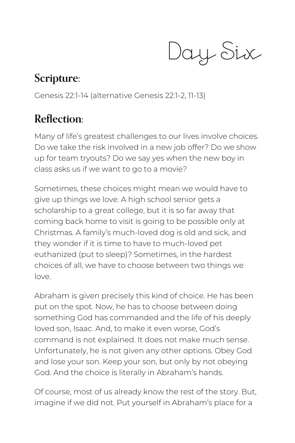Day Six

## **Scripture:**

Genesis 22:1-14 (alternative Genesis 22:1-2, 11-13)

## **Reflection:**

Many of life's greatest challenges to our lives involve choices. Do we take the risk involved in a new job offer? Do we show up for team tryouts? Do we say yes when the new boy in class asks us if we want to go to a movie?

Sometimes, these choices might mean we would have to give up things we love. A high school senior gets a scholarship to a great college, but it is so far away that coming back home to visit is going to be possible only at Christmas. A family's much-loved dog is old and sick, and they wonder if it is time to have to much-loved pet euthanized (put to sleep)? Sometimes, in the hardest choices of all, we have to choose between two things we love.

Abraham is given precisely this kind of choice. He has been put on the spot. Now, he has to choose between doing something God has commanded and the life of his deeply loved son, Isaac. And, to make it even worse, God's command is not explained. It does not make much sense. Unfortunately, he is not given any other options. Obey God and lose your son. Keep your son, but only by not obeying God. And the choice is literally in Abraham's hands.

Of course, most of us already know the rest of the story. But, imagine if we did not. Put yourself in Abraham's place for a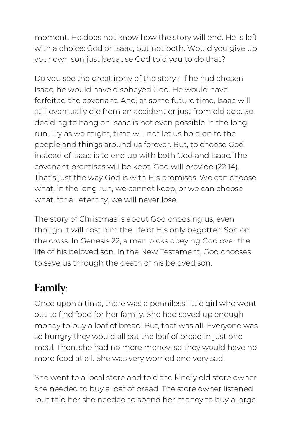moment. He does not know how the story will end. He is left with a choice: God or Isaac, but not both. Would you give up your own son just because God told you to do that?

Do you see the great irony of the story? If he had chosen Isaac, he would have disobeyed God. He would have forfeited the covenant. And, at some future time, Isaac will still eventually die from an accident or just from old age. So, deciding to hang on Isaac is not even possible in the long run. Try as we might, time will not let us hold on to the people and things around us forever. But, to choose God instead of Isaac is to end up with both God and Isaac. The covenant promises will be kept. God will provide (22:14). That's just the way God is with His promises. We can choose what, in the long run, we cannot keep, or we can choose what, for all eternity, we will never lose.

The story of Christmas is about God choosing us, even though it will cost him the life of His only begotten Son on the cross. In Genesis 22, a man picks obeying God over the life of his beloved son. In the New Testament, God chooses to save us through the death of his beloved son.

## **Family:**

Once upon a time, there was a penniless little girl who went out to find food for her family. She had saved up enough money to buy a loaf of bread. But, that was all. Everyone was so hungry they would all eat the loaf of bread in just one meal. Then, she had no more money, so they would have no more food at all. She was very worried and very sad.

She went to a local store and told the kindly old store owner she needed to buy a loaf of bread. The store owner listened but told her she needed to spend her money to buy a large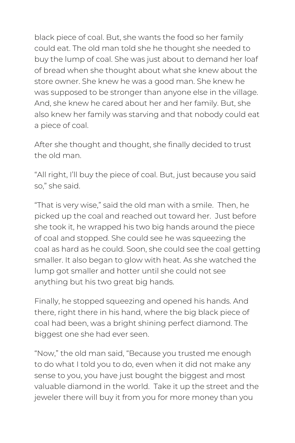black piece of coal. But, she wants the food so her family could eat. The old man told she he thought she needed to buy the lump of coal. She was just about to demand her loaf of bread when she thought about what she knew about the store owner. She knew he was a good man. She knew he was supposed to be stronger than anyone else in the village. And, she knew he cared about her and her family. But, she also knew her family was starving and that nobody could eat a piece of coal.

After she thought and thought, she finally decided to trust the old man.

"All right, I'll buy the piece of coal. But, just because you said so," she said.

"That is very wise," said the old man with a smile. Then, he picked up the coal and reached out toward her. Just before she took it, he wrapped his two big hands around the piece of coal and stopped. She could see he was squeezing the coal as hard as he could. Soon, she could see the coal getting smaller. It also began to glow with heat. As she watched the lump got smaller and hotter until she could not see anything but his two great big hands.

Finally, he stopped squeezing and opened his hands. And there, right there in his hand, where the big black piece of coal had been, was a bright shining perfect diamond. The biggest one she had ever seen.

"Now," the old man said, "Because you trusted me enough to do what I told you to do, even when it did not make any sense to you, you have just bought the biggest and most valuable diamond in the world. Take it up the street and the jeweler there will buy it from you for more money than you